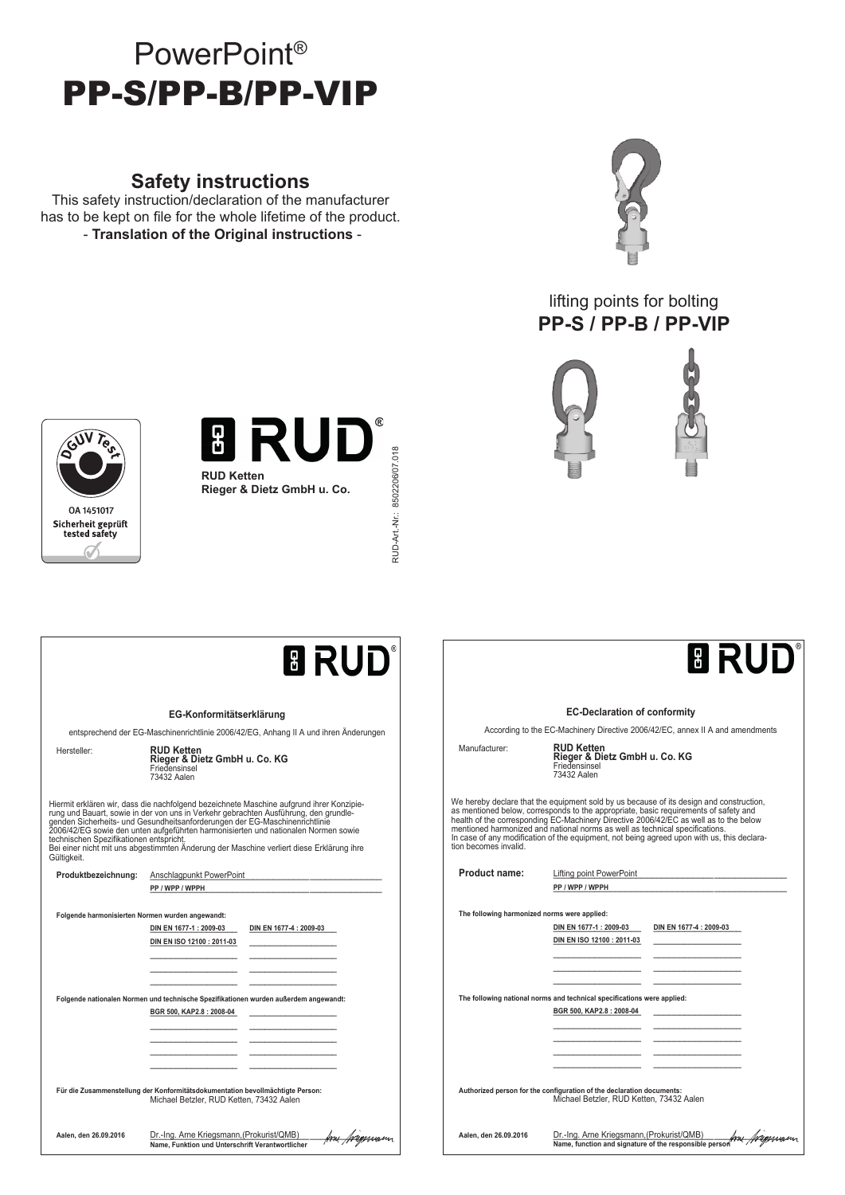# PowerPoint® PP-S/PP-B/PP-VIP

## **Safety instructions**

This safety instruction/declaration of the manufacturer has to be kept on file for the whole lifetime of the product. - **Translation of the Original instructions** -



## lifting points for bolting **PP-S / PP-B / PP-VIP**





RUD-Art -Nr.: 8502206/07.018 RUD-Art.-Nr.: 8502206/07.018



## **BRUD**® **EG-Konformitätserklärung** entsprechend der EG-Maschinenrichtlinie 2006/42/EG, Anhang II A und ihren Änderungen Hersteller: **RUD Ketten Rieger & Dietz GmbH u. Co. KG**<br>Friedensinsel<br>73432 Aalen Hiermit erklären wir, dass die nachfolgend bezeichnete Maschine aufgrund ihrer Konzipie-<br>rung und Bauart, sowie in der von uns in Verkehr gebrachten Ausführung, den grundle-<br>genden Sicherheits- und Gesundheitsanforderungen Gültigkeit. Produktbezeichnung: **Anschlagpunkt PowerPoint** PP / WPP / WPPH **Folgende harmonisierten Normen wurden angewandt: DIN EN 1677-1 : 2009-03** DIN EN 1677-4 : 2009-03 **DIN EN ISO 12100 : 2011-03** \_\_\_\_\_\_\_\_\_\_\_\_\_\_\_\_\_ \_\_\_\_\_\_\_\_\_\_\_\_\_\_\_\_\_ \_\_\_\_\_\_\_\_\_\_\_\_\_\_\_\_\_ \_\_\_\_\_\_\_\_\_\_\_\_\_\_\_\_\_ \_\_\_\_\_\_\_\_\_\_\_\_\_\_\_\_\_ \_\_\_\_\_\_\_\_\_\_\_\_\_\_\_\_\_ **Folgende nationalen Normen und technische Spezifikationen wurden außerdem angewandt: BGR 500, KAP2.8 : 2008-04** \_\_\_\_\_\_\_\_\_\_\_\_\_\_\_\_\_ \_\_\_\_\_\_\_\_\_\_\_\_\_\_\_\_\_ \_\_\_\_\_\_\_\_\_\_\_\_\_\_\_\_\_ \_\_\_\_\_\_\_\_\_\_\_\_\_\_\_\_\_ \_\_\_\_\_\_\_\_\_\_\_\_\_\_\_\_\_ \_\_\_\_\_\_\_\_\_\_\_\_\_\_\_\_\_ \_\_\_\_\_\_\_\_\_\_\_\_\_\_\_\_\_ \_\_\_\_\_\_\_\_\_\_\_\_\_\_\_\_\_ \_\_\_\_\_\_\_\_\_\_\_\_\_\_\_\_\_ \_\_\_\_\_\_\_\_\_\_\_\_\_\_\_\_\_ **Für die Zusammenstellung der Konformitätsdokumentation bevollmächtigte Person:** Michael Betzler, RUD Ketten, 73432 Aalen **Aalen, den 26.09.2016** Dr.-Ing. Arne Kriegsmann, \_\_\_\_\_\_\_\_\_\_\_\_\_\_\_\_\_\_\_\_\_\_\_\_\_\_\_\_\_\_\_\_\_\_\_\_\_\_\_\_\_\_\_\_\_ (Prokurist/QMB) **Name, Funktion und Unterschrift Verantwortlicher**

# **BRUD**

#### **EC-Declaration of conformity**

According to the EC-Machinery Directive 2006/42/EC, annex II A and amendments

Manufacturer: **RUD Ketten Rieger & Dietz GmbH u. Co. KG** Friedensinsel 73432 Aalen

We hereby declare that the equipment sold by us because of its design and construction,<br>as mentioned below, corresponds to the appropriate, basic requirements of safety and<br>health of the corresponding EC-Machinery Directiv tion becomes invalid.

| <b>Product name:</b>                         | Lifting point PowerPoint                                                      |
|----------------------------------------------|-------------------------------------------------------------------------------|
|                                              | PP / WPP / WPPH                                                               |
|                                              |                                                                               |
| The following harmonized norms were applied: |                                                                               |
|                                              | DIN EN 1677-1 : 2009-03<br>DIN EN 1677-4 : 2009-03                            |
|                                              | DIN EN ISO 12100 : 2011-03                                                    |
|                                              |                                                                               |
|                                              |                                                                               |
|                                              |                                                                               |
|                                              | The following national norms and technical specifications were applied:       |
|                                              | BGR 500, KAP2.8: 2008-04                                                      |
|                                              |                                                                               |
|                                              |                                                                               |
|                                              |                                                                               |
|                                              |                                                                               |
|                                              |                                                                               |
|                                              | Authorized person for the configuration of the declaration documents:         |
|                                              | Michael Betzler, RUD Ketten, 73432 Aalen                                      |
|                                              |                                                                               |
| Aalen. den 26.09.2016                        | Dr.-Ing. Arne Kriegsmann, (Prokurist/QMB)                                     |
|                                              | km <i>friepsnas</i><br>Name, function and signature of the responsible person |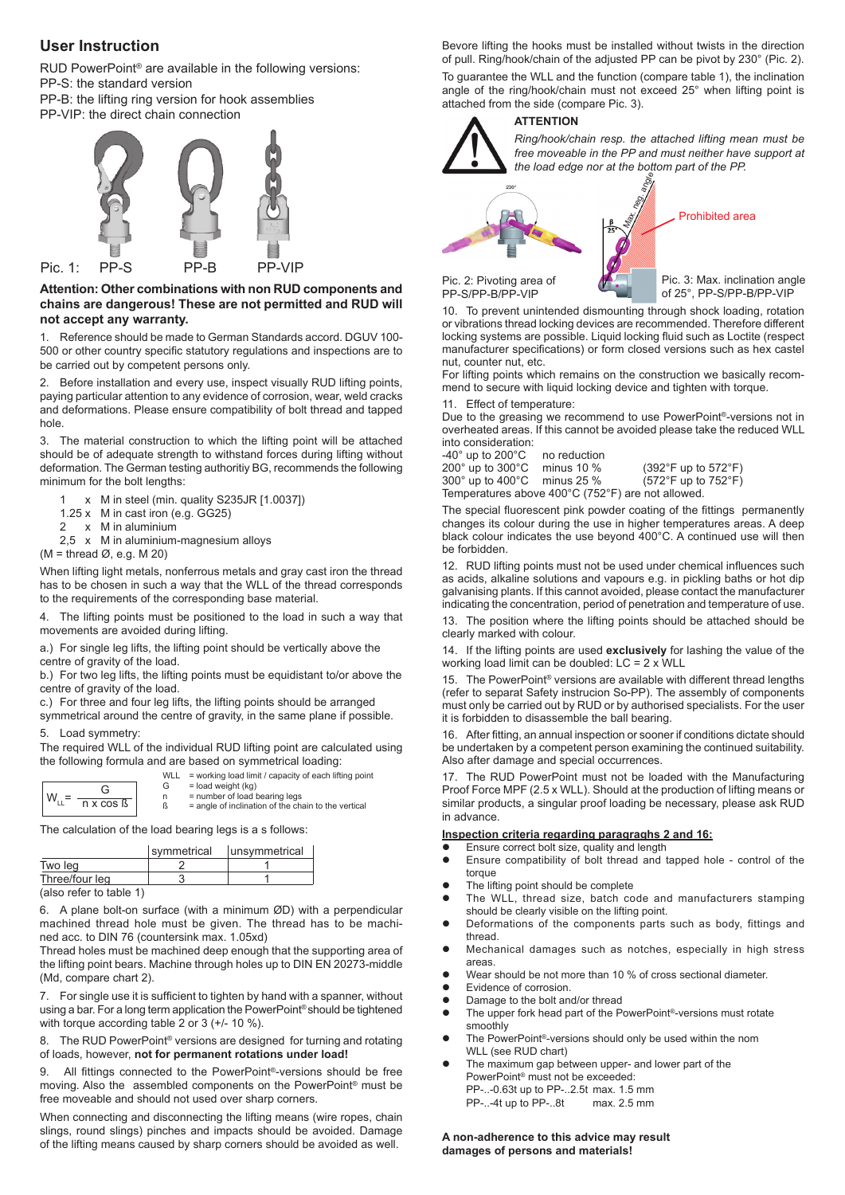### **User Instruction**

RUD PowerPoint® are available in the following versions: PP-S: the standard version

PP-B: the lifting ring version for hook assemblies PP-VIP: the direct chain connection



#### **Attention: Other combinations with non RUD components and chains are dangerous! These are not permitted and RUD will not accept any warranty.**

1. Reference should be made to German Standards accord. DGUV 100- 500 or other country specific statutory regulations and inspections are to be carried out by competent persons only.

2. Before installation and every use, inspect visually RUD lifting points, paying particular attention to any evidence of corrosion, wear, weld cracks and deformations. Please ensure compatibility of bolt thread and tapped hole.

3. The material construction to which the lifting point will be attached should be of adequate strength to withstand forces during lifting without deformation. The German testing authoritiy BG, recommends the following minimum for the bolt lengths:

- 1 x M in steel (min. quality S235JR [1.0037])
- 1.25 x M in cast iron (e.g. GG25)
- 2 x M in aluminium
- 2,5 x M in aluminium-magnesium alloys

 $(M = thread \emptyset. e.a. M 20)$ 

When lifting light metals, nonferrous metals and gray cast iron the thread has to be chosen in such a way that the WLL of the thread corresponds to the requirements of the corresponding base material.

4. The lifting points must be positioned to the load in such a way that movements are avoided during lifting.

a.) For single leg lifts, the lifting point should be vertically above the centre of gravity of the load.

b.) For two leg lifts, the lifting points must be equidistant to/or above the centre of gravity of the load.

c.) For three and four leg lifts, the lifting points should be arranged symmetrical around the centre of gravity, in the same plane if possible.

5. Load symmetry:

The required WLL of the individual RUD lifting point are calculated using the following formula and are based on symmetrical loading:

| n x cos |
|---------|

WLL = working load limit / capacity of each lifting point<br>  $G =$  load weight (kg)  $G = load weight (kg)$ <br>  $n = number of load b$  $n = number of load bearing legs$ <br> $R = angle of inclination of the chi$  $=$  angle of inclination of the chain to the vertical

The calculation of the load bearing legs is a s follows:

|                            | symmetrical | unsymmetrical |
|----------------------------|-------------|---------------|
| Two leg                    |             |               |
| Three/four leg             |             |               |
| $(a)$ so refer to table 1) |             |               |

(also refer to table 1)

6. A plane bolt-on surface (with a minimum ØD) with a perpendicular machined thread hole must be given. The thread has to be machined acc. to DIN 76 (countersink max. 1.05xd)

Thread holes must be machined deep enough that the supporting area of the lifting point bears. Machine through holes up to DIN EN 20273-middle (Md, compare chart 2).

7. For single use it is sufficient to tighten by hand with a spanner, without using a bar. For a long term application the PowerPoint® should be tightened with torque according table 2 or 3 (+/- 10 %).

8. The RUD PowerPoint<sup>®</sup> versions are designed for turning and rotating of loads, however, **not for permanent rotations under load!**

9. All fittings connected to the PowerPoint<sup>®</sup>-versions should be free moving. Also the assembled components on the PowerPoint® must be free moveable and should not used over sharp corners.

When connecting and disconnecting the lifting means (wire ropes, chain slings, round slings) pinches and impacts should be avoided. Damage of the lifting means caused by sharp corners should be avoided as well.

Bevore lifting the hooks must be installed without twists in the direction of pull. Ring/hook/chain of the adjusted PP can be pivot by 230° (Pic. 2).

To guarantee the WLL and the function (compare table 1), the inclination angle of the ring/hook/chain must not exceed 25° when lifting point is attached from the side (compare Pic. 3).

### **ATTENTION**



*Ring/hook/chain resp. the attached lifting mean must be free moveable in the PP and must neither have support at the load edge nor at the bottom part of the PP.*  Max. neg. angle

Pic. 2: Pivoting area of PP-S/PP-B/PP-VIP

Pic. 3: Max. inclination angle of 25°, PP-S/PP-B/PP-VIP

Prohibited area

10. To prevent unintended dismounting through shock loading, rotation or vibrations thread locking devices are recommended. Therefore different locking systems are possible. Liquid locking fluid such as Loctite (respect manufacturer specifications) or form closed versions such as hex castel nut, counter nut, etc.

For lifting points which remains on the construction we basically recommend to secure with liquid locking device and tighten with torque.

11. Effect of temperature:

Due to the greasing we recommend to use PowerPoint®-versions not in overheated areas. If this cannot be avoided please take the reduced WLL into consideration:

-40° up to 200°C no reduction<br>200° up to 300°C minus 10 % 200° up to 300°C minus 10 % (392°F up to 572°F)  $(572°F$  up to  $752°F)$ Temperatures above 400°C (752°F) are not allowed.

The special fluorescent pink powder coating of the fittings permanently changes its colour during the use in higher temperatures areas. A deep black colour indicates the use beyond 400°C. A continued use will then be forbidden.

12. RUD lifting points must not be used under chemical influences such as acids, alkaline solutions and vapours e.g. in pickling baths or hot dip galvanising plants. If this cannot avoided, please contact the manufacturer indicating the concentration, period of penetration and temperature of use.

13. The position where the lifting points should be attached should be clearly marked with colour.

14. If the lifting points are used **exclusively** for lashing the value of the working load limit can be doubled: LC = 2 x WLL

15. The PowerPoint® versions are available with different thread lengths (refer to separat Safety instrucion So-PP). The assembly of components must only be carried out by RUD or by authorised specialists. For the user it is forbidden to disassemble the ball bearing.

16. After fitting, an annual inspection or sooner if conditions dictate should be undertaken by a competent person examining the continued suitability. Also after damage and special occurrences.

17. The RUD PowerPoint must not be loaded with the Manufacturing Proof Force MPF (2.5 x WLL). Should at the production of lifting means or similar products, a singular proof loading be necessary, please ask RUD in advance.

#### **Inspection criteria regarding paragraghs 2 and 16:**

- Ensure correct bolt size, quality and length<br>• Ensure compatibility of bolt thread and
- Ensure compatibility of bolt thread and tapped hole control of the torque
- The lifting point should be complete
- The WLL, thread size, batch code and manufacturers stamping should be clearly visible on the lifting point.
- Deformations of the components parts such as body, fittings and thread.
- Mechanical damages such as notches, especially in high stress areas.
- Wear should be not more than 10 % of cross sectional diameter.
- Evidence of corrosion.
- <b>Damage</b> to the bolt and/or thread <math display="inline">\bullet</math> The upper fork head part of the <math display="inline">\bullet</math>
- The upper fork head part of the PowerPoint®-versions must rotate smoothly
- The PowerPoint<sup>®</sup>-versions should only be used within the nom WLL (see RUD chart)
- The maximum gap between upper- and lower part of the PowerPoint® must not be exceeded: PP-..-0.63t up to PP-..2.5t max. 1.5 mm PP-..-4t up to PP-..8t max. 2.5 mm

**A non-adherence to this advice may result damages of persons and materials!**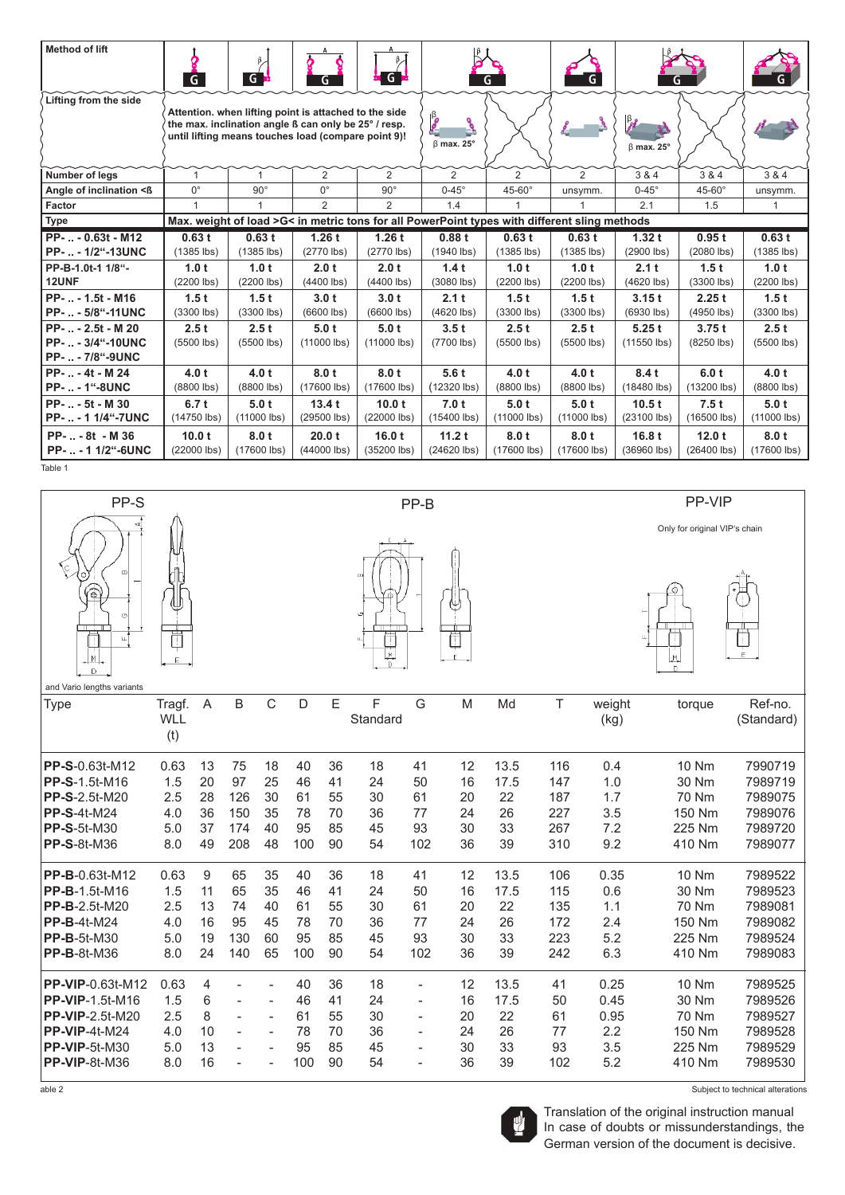| <b>Method of lift</b>                                              | $\overline{G}$        | $G^{\mathbf{h}}$                                                                                                                                                     | G                     | $G^{\bullet}$         |                                                                                              | G.                    | G.                   |                                           |                       |                       |
|--------------------------------------------------------------------|-----------------------|----------------------------------------------------------------------------------------------------------------------------------------------------------------------|-----------------------|-----------------------|----------------------------------------------------------------------------------------------|-----------------------|----------------------|-------------------------------------------|-----------------------|-----------------------|
| Lifting from the side                                              |                       | Attention, when lifting point is attached to the side<br>the max. inclination angle ß can only be 25° / resp.<br>until lifting means touches load (compare point 9)! |                       |                       | <b>B</b><br>್ನಿ<br>$\beta$ max. 25°                                                          |                       |                      | $\frac{\beta}{\beta}$<br>$\beta$ max. 25° |                       |                       |
| Number of legs                                                     | 1                     |                                                                                                                                                                      | 2                     | $\overline{2}$        | 2                                                                                            | 2                     | 2                    | 3 & 4                                     | 3 & 4                 | 3 & 4                 |
| Angle of inclination <ß                                            | $0^{\circ}$           | $90^\circ$                                                                                                                                                           | $0^{\circ}$           | $90^\circ$            | $0-45^\circ$                                                                                 | $45-60^\circ$         | unsymm.              | $0-45^\circ$                              | $45-60^\circ$         | unsymm.               |
| Factor                                                             | $\mathbf{1}$          | 1                                                                                                                                                                    | $\overline{2}$        | $\overline{2}$        | 1.4                                                                                          | 1                     |                      | 2.1                                       | 1.5                   | $\mathbf{1}$          |
| <b>Type</b>                                                        |                       |                                                                                                                                                                      |                       |                       | Max. weight of load >G< in metric tons for all PowerPoint types with different sling methods |                       |                      |                                           |                       |                       |
| PP-  - 0.63t - M12                                                 | 0.63t                 | 0.63t                                                                                                                                                                | 1.26t                 | 1.26t                 | 0.88t                                                                                        | 0.63t                 | 0.63t                | 1.32t                                     | 0.95t                 | 0.63t                 |
| PP-  - 1/2"-13UNC                                                  | $(1385$ lbs)          | $(1385$ lbs)                                                                                                                                                         | $(2770$ lbs)          | $(2770$ lbs)          | $(1940$ lbs)                                                                                 | $(1385$ lbs)          | $(1385$ lbs)         | (2900 lbs)                                | (2080 lbs)            | $(1385$ lbs)          |
| PP-B-1.0t-1 1/8"-<br>12UNF                                         | 1.0t<br>$(2200$ lbs)  | 1.0 t<br>(2200 lbs)                                                                                                                                                  | 2.0 t<br>$(4400$ lbs) | 2.0 t<br>$(4400$ lbs) | 1.4t<br>$(3080$ lbs)                                                                         | 1.0 t<br>$(2200$ lbs) | 1.0t<br>(2200 lbs)   | 2.1t<br>(4620 lbs)                        | 1.5t<br>$(3300$ lbs)  | 1.0 t<br>$(2200$ lbs) |
| PP-  - 1.5t - M16<br>PP-  - 5/8"-11UNC                             | 1.5t<br>$(3300$ lbs)  | 1.5t<br>$(3300$ lbs)                                                                                                                                                 | 3.0t<br>$(6600$ lbs)  | 3.0t<br>$(6600$ lbs)  | 2.1t<br>$(4620$ lbs)                                                                         | 1.5t<br>$(3300$ lbs)  | 1.5t<br>$(3300$ lbs) | 3.15t<br>$(6930$ lbs)                     | 2.25t<br>(4950 lbs)   | 1.5t<br>$(3300$ lbs)  |
| PP-  - 2.5t - M 20<br>PP-  - 3/4"-10UNC<br><b>PP-  - 7/8"-9UNC</b> | 2.5t<br>$(5500$ lbs)  | 2.5t<br>$(5500$ lbs)                                                                                                                                                 | 5.0t<br>$(11000$ lbs) | 5.0t<br>$(11000$ lbs) | 3.5t<br>(7700 lbs)                                                                           | 2.5t<br>$(5500$ lbs)  | 2.5t<br>$(5500$ lbs) | 5.25t<br>(11550 lbs)                      | 3.75t<br>$(8250$ lbs) | 2.5t<br>$(5500$ lbs)  |
| PP-  - 4t - M 24<br><b>PP-  - 1"-8UNC</b>                          | 4.0 t<br>(8800 lbs)   | 4.0 t<br>(8800 lbs)                                                                                                                                                  | 8.0 t<br>(17600 lbs)  | 8.0t<br>(17600 lbs)   | 5.6t<br>$(12320$ lbs)                                                                        | 4.0 t<br>(8800 lbs)   | 4.0 t<br>(8800 lbs)  | 8.4t<br>(18480 lbs)                       | 6.0 t<br>(13200 lbs)  | 4.0 t<br>(8800 lbs)   |
|                                                                    |                       |                                                                                                                                                                      |                       |                       |                                                                                              |                       |                      |                                           |                       |                       |
| PP-  - 5t - M 30<br>PP-  - 1 1/4"-7UNC                             | 6.7t<br>(14750 lbs)   | 5.0t<br>(11000 lbs)                                                                                                                                                  | 13.4t<br>(29500 lbs)  | 10.0t<br>(22000 lbs)  | 7.0 t<br>(15400 lbs)                                                                         | 5.0t<br>(11000 lbs)   | 5.0t<br>(11000 lbs)  | 10.5t<br>(23100 lbs)                      | 7.5t<br>(16500 lbs)   | 5.0t<br>$(11000$ lbs) |
| PP--8t - M 36<br>PP--1 1/2"-6UNC                                   | 10.0 t<br>(22000 lbs) | 8.0t<br>(17600 lbs)                                                                                                                                                  | 20.0 t<br>(44000 lbs) | 16.0t<br>(35200 lbs)  | 11.2t<br>(24620 lbs)                                                                         | 8.0t<br>(17600 lbs)   | 8.0t<br>(17600 lbs)  | 16.8t<br>(36960 lbs)                      | 12.0t<br>(26400 lbs)  | 8.0t<br>$(17600$ lbs) |

Table 1

| PP-S                                                                                                                                            | PP-VIP<br>PP-B                          |                                              |                                      |                                                            |                                   |                                  |                                  |                                                              |                                  |                                      |                                        |                                           |                                                              |                                                                                                    |
|-------------------------------------------------------------------------------------------------------------------------------------------------|-----------------------------------------|----------------------------------------------|--------------------------------------|------------------------------------------------------------|-----------------------------------|----------------------------------|----------------------------------|--------------------------------------------------------------|----------------------------------|--------------------------------------|----------------------------------------|-------------------------------------------|--------------------------------------------------------------|----------------------------------------------------------------------------------------------------|
| 貪<br>Ö<br>LL.                                                                                                                                   |                                         |                                              | ₿<br>J.                              |                                                            |                                   |                                  |                                  |                                                              |                                  |                                      | Only for original VIP's chain          |                                           |                                                              |                                                                                                    |
| IмI<br>D                                                                                                                                        |                                         |                                              |                                      |                                                            |                                   |                                  | r.<br>$\mathbb{D}$               |                                                              |                                  |                                      |                                        |                                           | М.<br>D                                                      |                                                                                                    |
| and Vario lengths variants<br><b>Type</b>                                                                                                       | Tragf.<br><b>WLL</b><br>(t)             | $\overline{A}$                               | B                                    | $\mathsf{C}$                                               | D                                 | E                                | F<br>Standard                    | G                                                            | M                                | Md                                   | $\top$                                 | weight<br>(kg)                            | torque                                                       | Ref-no.<br>(Standard)                                                                              |
| PP-S-0.63t-M12<br>PP-S-1.5t-M16<br>PP-S-2.5t-M20<br><b>PP-S-4t-M24</b><br><b>PP-S-5t-M30</b><br><b>PP-S-8t-M36</b>                              | 0.63<br>1.5<br>2.5<br>4.0<br>5.0<br>8.0 | 13<br>20<br>28<br>36<br>37<br>49             | 75<br>97<br>126<br>150<br>174<br>208 | 18<br>25<br>30<br>35<br>40<br>48                           | 40<br>46<br>61<br>78<br>95<br>100 | 36<br>41<br>55<br>70<br>85<br>90 | 18<br>24<br>30<br>36<br>45<br>54 | 41<br>50<br>61<br>77<br>93<br>102                            | 12<br>16<br>20<br>24<br>30<br>36 | 13.5<br>17.5<br>22<br>26<br>33<br>39 | 116<br>147<br>187<br>227<br>267<br>310 | 0.4<br>1.0<br>1.7<br>3.5<br>7.2<br>9.2    | <b>10 Nm</b><br>30 Nm<br>70 Nm<br>150 Nm<br>225 Nm<br>410 Nm | 7990719<br>7989719<br>7989075<br>7989076<br>7989720<br>7989077                                     |
| PP-B-0.63t-M12<br>PP-B-1.5t-M16<br><b>PP-B-2.5t-M20</b><br><b>PP-B-4t-M24</b><br>PP-B-5t-M30<br><b>PP-B-8t-M36</b>                              | 0.63<br>1.5<br>2.5<br>4.0<br>5.0<br>8.0 | $\overline{9}$<br>11<br>13<br>16<br>19<br>24 | 65<br>65<br>74<br>95<br>130<br>140   | 35<br>35<br>40<br>45<br>60<br>65                           | 40<br>46<br>61<br>78<br>95<br>100 | 36<br>41<br>55<br>70<br>85<br>90 | 18<br>24<br>30<br>36<br>45<br>54 | 41<br>50<br>61<br>77<br>93<br>102                            | 12<br>16<br>20<br>24<br>30<br>36 | 13.5<br>17.5<br>22<br>26<br>33<br>39 | 106<br>115<br>135<br>172<br>223<br>242 | 0.35<br>0.6<br>1.1<br>2.4<br>5.2<br>6.3   | <b>10 Nm</b><br>30 Nm<br>70 Nm<br>150 Nm<br>225 Nm<br>410 Nm | 7989522<br>7989523<br>7989081<br>7989082<br>7989524<br>7989083                                     |
| PP-VIP-0.63t-M12<br><b>PP-VIP-1.5t-M16</b><br><b>PP-VIP-2.5t-M20</b><br><b>PP-VIP-4t-M24</b><br><b>PP-VIP-5t-M30</b><br>PP-VIP-8t-M36<br>able 2 | 0.63<br>1.5<br>2.5<br>4.0<br>5.0<br>8.0 | 4<br>6<br>8<br>10<br>13<br>16                |                                      | ÷,<br>$\overline{\phantom{a}}$<br>$\overline{\phantom{a}}$ | 40<br>46<br>61<br>78<br>95<br>100 | 36<br>41<br>55<br>70<br>85<br>90 | 18<br>24<br>30<br>36<br>45<br>54 | $\overline{a}$<br>$\overline{\phantom{a}}$<br>$\overline{a}$ | 12<br>16<br>20<br>24<br>30<br>36 | 13.5<br>17.5<br>22<br>26<br>33<br>39 | 41<br>50<br>61<br>77<br>93<br>102      | 0.25<br>0.45<br>0.95<br>2.2<br>3.5<br>5.2 | <b>10 Nm</b><br>30 Nm<br>70 Nm<br>150 Nm<br>225 Nm<br>410 Nm | 7989525<br>7989526<br>7989527<br>7989528<br>7989529<br>7989530<br>Subject to technical alterations |



Translation of the original instruction manual In case of doubts or missunderstandings, the German version of the document is decisive.